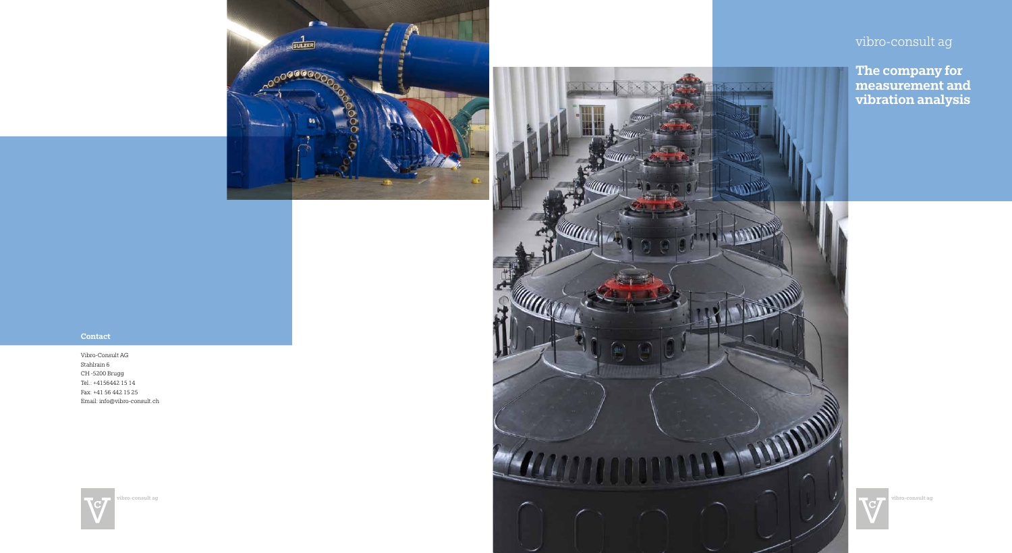

# **Contact**

vibro-consult ag

The company for measurement and vibration analysis

Vibro-Consult AG Stahlrain 6 CH -5200 Brugg Tel.: +4156442 15 14 Fax: +41 56 442 15 25 Email: info@vibro-consult.ch